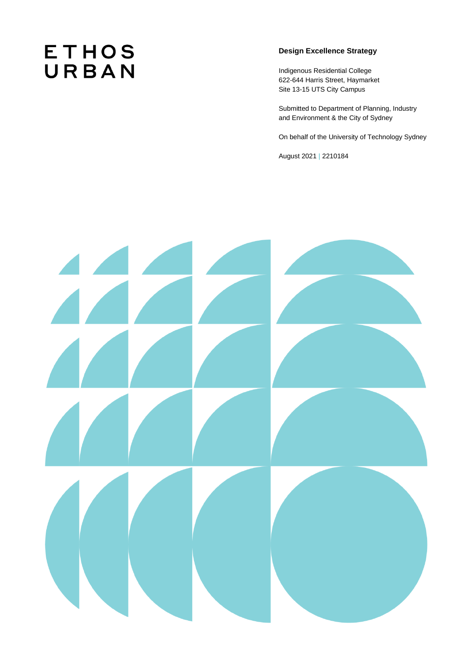# **ETHOS** URBAN

# **Design Excellence Strategy**

Indigenous Residential College 622-644 Harris Street, Haymarket Site 13-15 UTS City Campus

Submitted to Department of Planning, Industry and Environment & the City of Sydney

On behalf of the University of Technology Sydney

August 2021 **|** 2210184

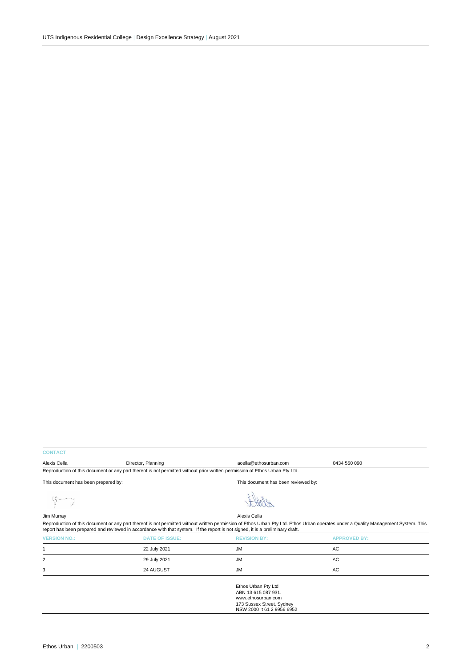# **CONTACT**

| Alexis Cella                                                                                                                | Director, Planning | acella@ethosurban.com               | 0434 550 090 |  |  |
|-----------------------------------------------------------------------------------------------------------------------------|--------------------|-------------------------------------|--------------|--|--|
| Reproduction of this document or any part thereof is not permitted without prior written permission of Ethos Urban Pty Ltd. |                    |                                     |              |  |  |
| This document has been prepared by:                                                                                         |                    | This document has been reviewed by: |              |  |  |

 $9-7$ 



| Jim Murray                                                                                                                                                                                                                                                                                                          |                       | Alexis Cella                        |                     |  |  |
|---------------------------------------------------------------------------------------------------------------------------------------------------------------------------------------------------------------------------------------------------------------------------------------------------------------------|-----------------------|-------------------------------------|---------------------|--|--|
| Reproduction of this document or any part thereof is not permitted without written permission of Ethos Urban Pty Ltd. Ethos Urban operates under a Quality Management System. This<br>report has been prepared and reviewed in accordance with that system. If the report is not signed, it is a preliminary draft. |                       |                                     |                     |  |  |
| <b>VERSION NO.:</b>                                                                                                                                                                                                                                                                                                 | <b>DATE OF ISSUE:</b> | <b>REVISION BY:</b>                 | <b>APPROVED BY:</b> |  |  |
|                                                                                                                                                                                                                                                                                                                     | 22 July 2021          | <b>JM</b>                           | AC                  |  |  |
| 2                                                                                                                                                                                                                                                                                                                   | 29 July 2021          | <b>JM</b>                           | AC                  |  |  |
| 3                                                                                                                                                                                                                                                                                                                   | 24 AUGUST             | JМ                                  | AC                  |  |  |
|                                                                                                                                                                                                                                                                                                                     |                       | <b>Extended Fight and Extending</b> |                     |  |  |

Ethos Urban Pty Ltd ABN 13 615 087 931. www.ethosurban.com 173 Sussex Street, Sydney NSW 2000 t 61 2 9956 6952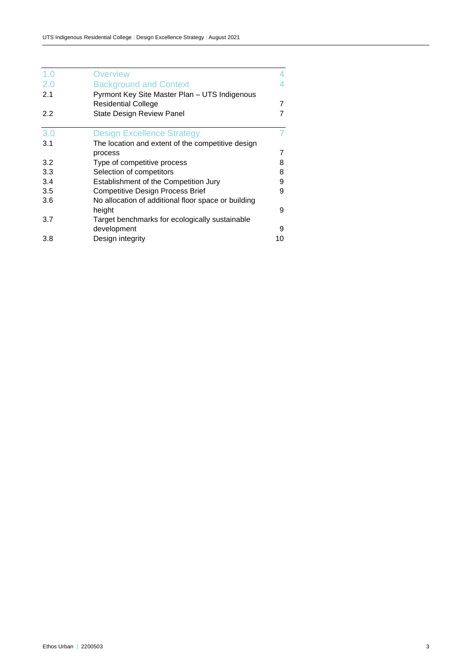| 1.0 | <b>Overview</b>                                                             |    |
|-----|-----------------------------------------------------------------------------|----|
| 2.0 | <b>Background and Context</b>                                               | 4  |
| 2.1 | Pyrmont Key Site Master Plan - UTS Indigenous<br><b>Residential College</b> | 7  |
| 2.2 | <b>State Design Review Panel</b>                                            | 7  |
| 3.0 | <b>Design Excellence Strategy</b>                                           |    |
| 3.1 | The location and extent of the competitive design                           |    |
|     | process                                                                     | 7  |
| 3.2 | Type of competitive process                                                 | 8  |
| 3.3 | Selection of competitors                                                    | 8  |
| 3.4 | Establishment of the Competition Jury                                       | 9  |
| 3.5 | <b>Competitive Design Process Brief</b>                                     | 9  |
| 3.6 | No allocation of additional floor space or building                         |    |
|     | height                                                                      | 9  |
| 3.7 | Target benchmarks for ecologically sustainable                              |    |
|     | development                                                                 | 9  |
| 3.8 | Design integrity                                                            | 10 |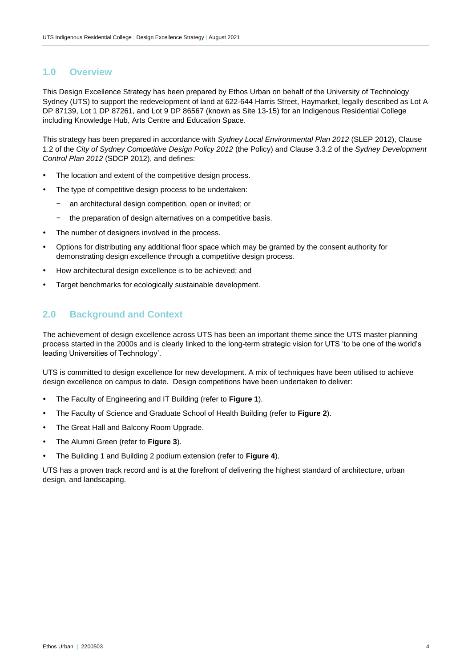# <span id="page-3-0"></span>**1.0 Overview**

This Design Excellence Strategy has been prepared by Ethos Urban on behalf of the University of Technology Sydney (UTS) to support the redevelopment of land at 622-644 Harris Street, Haymarket, legally described as Lot A DP 87139, Lot 1 DP 87261, and Lot 9 DP 86567 (known as Site 13-15) for an Indigenous Residential College including Knowledge Hub, Arts Centre and Education Space.

This strategy has been prepared in accordance with *Sydney Local Environmental Plan 2012* (SLEP 2012), Clause 1.2 of the *City of Sydney Competitive Design Policy 2012* (the Policy) and Clause 3.3.2 of the *Sydney Development Control Plan 2012* (SDCP 2012), and defines:

- The location and extent of the competitive design process.
- The type of competitive design process to be undertaken:
	- an architectural design competition, open or invited; or
	- the preparation of design alternatives on a competitive basis.
- The number of designers involved in the process.
- Options for distributing any additional floor space which may be granted by the consent authority for demonstrating design excellence through a competitive design process.
- How architectural design excellence is to be achieved; and
- <span id="page-3-1"></span>Target benchmarks for ecologically sustainable development.

# **2.0 Background and Context**

The achievement of design excellence across UTS has been an important theme since the UTS master planning process started in the 2000s and is clearly linked to the long-term strategic vision for UTS 'to be one of the world's leading Universities of Technology'.

UTS is committed to design excellence for new development. A mix of techniques have been utilised to achieve design excellence on campus to date. Design competitions have been undertaken to deliver:

- The Faculty of Engineering and IT Building (refer to **Figure 1**).
- The Faculty of Science and Graduate School of Health Building (refer to **Figure 2**).
- The Great Hall and Balcony Room Upgrade.
- The Alumni Green (refer to **Figure 3**).
- The Building 1 and Building 2 podium extension (refer to **Figure 4**).

UTS has a proven track record and is at the forefront of delivering the highest standard of architecture, urban design, and landscaping.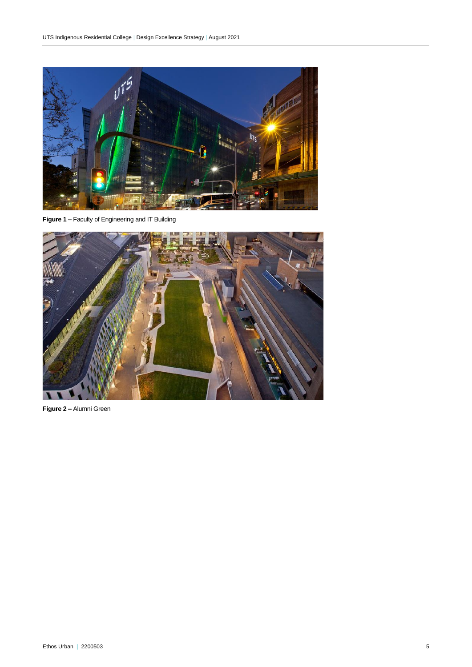

**Figure 1 –** Faculty of Engineering and IT Building



**Figure 2 –** Alumni Green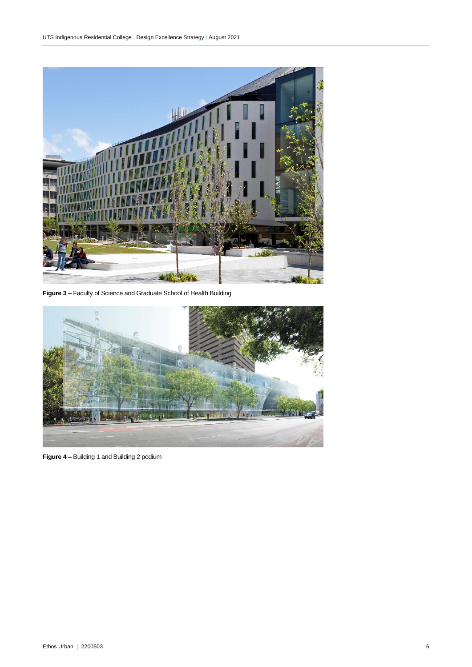

**Figure 3 –** Faculty of Science and Graduate School of Health Building



**Figure 4 –** Building 1 and Building 2 podium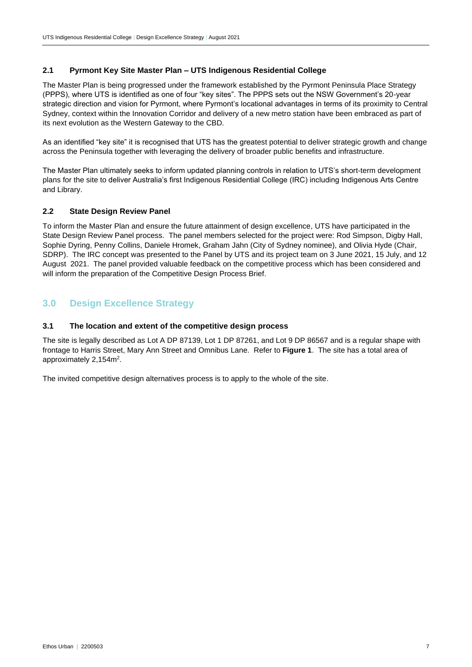## <span id="page-6-0"></span>**2.1 Pyrmont Key Site Master Plan – UTS Indigenous Residential College**

The Master Plan is being progressed under the framework established by the Pyrmont Peninsula Place Strategy (PPPS), where UTS is identified as one of four "key sites". The PPPS sets out the NSW Government's 20-year strategic direction and vision for Pyrmont, where Pyrmont's locational advantages in terms of its proximity to Central Sydney, context within the Innovation Corridor and delivery of a new metro station have been embraced as part of its next evolution as the Western Gateway to the CBD.

As an identified "key site" it is recognised that UTS has the greatest potential to deliver strategic growth and change across the Peninsula together with leveraging the delivery of broader public benefits and infrastructure.

The Master Plan ultimately seeks to inform updated planning controls in relation to UTS's short-term development plans for the site to deliver Australia's first Indigenous Residential College (IRC) including Indigenous Arts Centre and Library.

## <span id="page-6-1"></span>**2.2 State Design Review Panel**

To inform the Master Plan and ensure the future attainment of design excellence, UTS have participated in the State Design Review Panel process. The panel members selected for the project were: Rod Simpson, Digby Hall, Sophie Dyring, Penny Collins, Daniele Hromek, Graham Jahn (City of Sydney nominee), and Olivia Hyde (Chair, SDRP). The IRC concept was presented to the Panel by UTS and its project team on 3 June 2021, 15 July, and 12 August 2021. The panel provided valuable feedback on the competitive process which has been considered and will inform the preparation of the Competitive Design Process Brief.

# <span id="page-6-2"></span>**3.0 Design Excellence Strategy**

#### <span id="page-6-3"></span>**3.1 The location and extent of the competitive design process**

The site is legally described as Lot A DP 87139, Lot 1 DP 87261, and Lot 9 DP 86567 and is a regular shape with frontage to Harris Street, Mary Ann Street and Omnibus Lane. Refer to **Figure 1**. The site has a total area of approximately  $2,154$ m<sup>2</sup>.

The invited competitive design alternatives process is to apply to the whole of the site.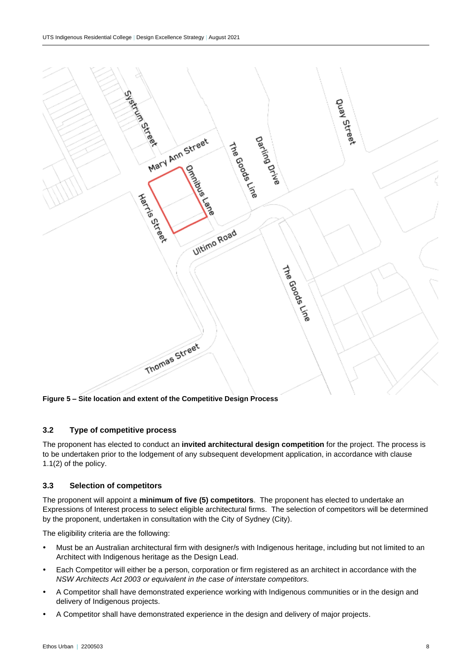

**Figure 5 – Site location and extent of the Competitive Design Process** 

# <span id="page-7-0"></span>**3.2 Type of competitive process**

The proponent has elected to conduct an **invited architectural design competition** for the project. The process is to be undertaken prior to the lodgement of any subsequent development application, in accordance with clause 1.1(2) of the policy.

## <span id="page-7-1"></span>**3.3 Selection of competitors**

The proponent will appoint a **minimum of five (5) competitors**. The proponent has elected to undertake an Expressions of Interest process to select eligible architectural firms. The selection of competitors will be determined by the proponent, undertaken in consultation with the City of Sydney (City).

The eligibility criteria are the following:

- Must be an Australian architectural firm with designer/s with Indigenous heritage, including but not limited to an Architect with Indigenous heritage as the Design Lead.
- Each Competitor will either be a person, corporation or firm registered as an architect in accordance with the *NSW Architects Act 2003 or equivalent in the case of interstate competitors.*
- A Competitor shall have demonstrated experience working with Indigenous communities or in the design and delivery of Indigenous projects.
- A Competitor shall have demonstrated experience in the design and delivery of major projects.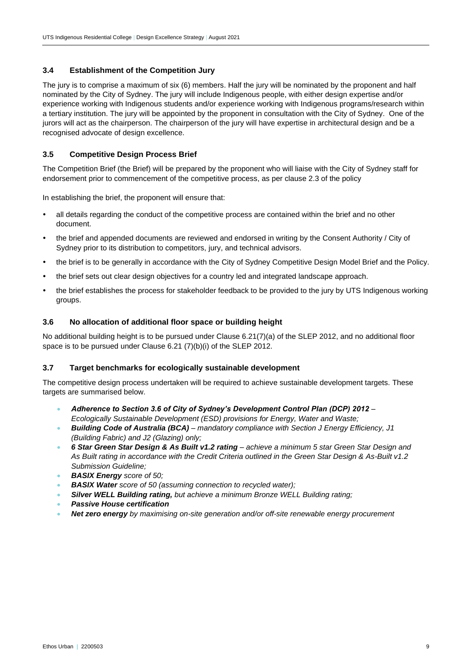## <span id="page-8-0"></span>**3.4 Establishment of the Competition Jury**

The jury is to comprise a maximum of six (6) members. Half the jury will be nominated by the proponent and half nominated by the City of Sydney. The jury will include Indigenous people, with either design expertise and/or experience working with Indigenous students and/or experience working with Indigenous programs/research within a tertiary institution. The jury will be appointed by the proponent in consultation with the City of Sydney. One of the jurors will act as the chairperson. The chairperson of the jury will have expertise in architectural design and be a recognised advocate of design excellence.

# <span id="page-8-1"></span>**3.5 Competitive Design Process Brief**

The Competition Brief (the Brief) will be prepared by the proponent who will liaise with the City of Sydney staff for endorsement prior to commencement of the competitive process, as per clause 2.3 of the policy

In establishing the brief, the proponent will ensure that:

- all details regarding the conduct of the competitive process are contained within the brief and no other document.
- the brief and appended documents are reviewed and endorsed in writing by the Consent Authority / City of Sydney prior to its distribution to competitors, jury, and technical advisors.
- the brief is to be generally in accordance with the City of Sydney Competitive Design Model Brief and the Policy.
- the brief sets out clear design objectives for a country led and integrated landscape approach.
- the brief establishes the process for stakeholder feedback to be provided to the jury by UTS Indigenous working groups.

#### <span id="page-8-2"></span>**3.6 No allocation of additional floor space or building height**

No additional building height is to be pursued under Clause 6.21(7)(a) of the SLEP 2012, and no additional floor space is to be pursued under Clause 6.21 (7)(b)(i) of the SLEP 2012.

# <span id="page-8-3"></span>**3.7 Target benchmarks for ecologically sustainable development**

The competitive design process undertaken will be required to achieve sustainable development targets. These targets are summarised below.

- *Adherence to Section 3.6 of City of Sydney's Development Control Plan (DCP) 2012 – Ecologically Sustainable Development (ESD) provisions for Energy, Water and Waste;*
- *Building Code of Australia (BCA) – mandatory compliance with Section J Energy Efficiency, J1 (Building Fabric) and J2 (Glazing) only;*
- *6 Star Green Star Design & As Built v1.2 rating – achieve a minimum 5 star Green Star Design and As Built rating in accordance with the Credit Criteria outlined in the Green Star Design & As-Built v1.2 Submission Guideline;*
- *BASIX Energy score of 50;*
- *BASIX Water score of 50 (assuming connection to recycled water);*
- *Silver WELL Building rating, but achieve a minimum Bronze WELL Building rating;*
- *Passive House certification*
- *Net zero energy by maximising on-site generation and/or off-site renewable energy procurement*